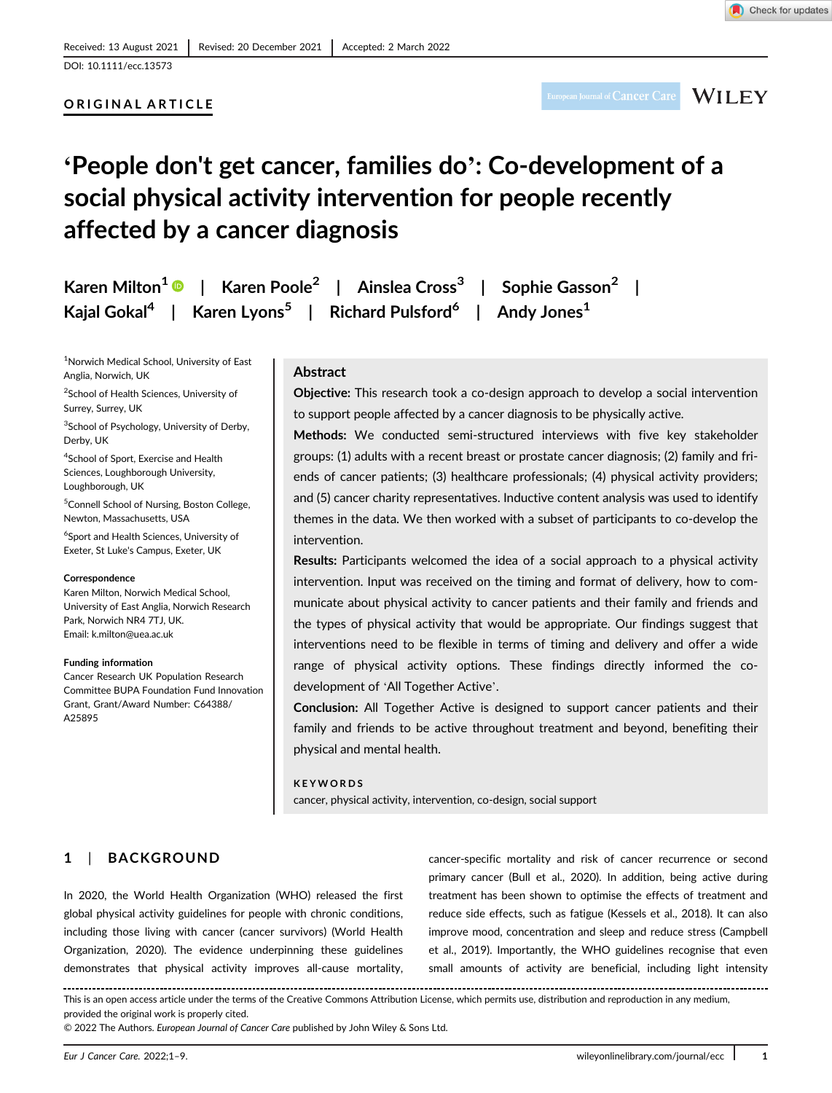# ORIGINAL ARTICLE

# 'People don't get cancer, families do': Co-development of a social physical activity intervention for people recently affected by a cancer diagnosis

|  |  | Karen Milton <sup>1</sup> ●   Karen Poole <sup>2</sup>   Ainslea Cross <sup>3</sup>   Sophie Gasson <sup>2</sup> |  |  |
|--|--|------------------------------------------------------------------------------------------------------------------|--|--|
|  |  | Kajal Gokal <sup>4</sup>   Karen Lyons <sup>5</sup>   Richard Pulsford <sup>6</sup>   Andy Jones <sup>1</sup>    |  |  |

<sup>1</sup>Norwich Medical School, University of East Anglia, Norwich, UK

<sup>2</sup>School of Health Sciences, University of Surrey, Surrey, UK

<sup>3</sup>School of Psychology, University of Derby, Derby, UK

4 School of Sport, Exercise and Health Sciences, Loughborough University, Loughborough, UK

<sup>5</sup> Connell School of Nursing, Boston College, Newton, Massachusetts, USA

6 Sport and Health Sciences, University of Exeter, St Luke's Campus, Exeter, UK

#### **Correspondence**

Karen Milton, Norwich Medical School, University of East Anglia, Norwich Research Park, Norwich NR4 7TJ, UK. Email: [k.milton@uea.ac.uk](mailto:k.milton@uea.ac.uk)

#### Funding information

Cancer Research UK Population Research Committee BUPA Foundation Fund Innovation Grant, Grant/Award Number: C64388/ A25895

# Abstract

Objective: This research took a co-design approach to develop a social intervention to support people affected by a cancer diagnosis to be physically active.

Methods: We conducted semi-structured interviews with five key stakeholder groups: (1) adults with a recent breast or prostate cancer diagnosis; (2) family and friends of cancer patients; (3) healthcare professionals; (4) physical activity providers; and (5) cancer charity representatives. Inductive content analysis was used to identify themes in the data. We then worked with a subset of participants to co-develop the intervention.

Results: Participants welcomed the idea of a social approach to a physical activity intervention. Input was received on the timing and format of delivery, how to communicate about physical activity to cancer patients and their family and friends and the types of physical activity that would be appropriate. Our findings suggest that interventions need to be flexible in terms of timing and delivery and offer a wide range of physical activity options. These findings directly informed the codevelopment of 'All Together Active'.

Conclusion: All Together Active is designed to support cancer patients and their family and friends to be active throughout treatment and beyond, benefiting their physical and mental health.

**KEYWORDS** cancer, physical activity, intervention, co-design, social support

# 1 | BACKGROUND

In 2020, the World Health Organization (WHO) released the first global physical activity guidelines for people with chronic conditions, including those living with cancer (cancer survivors) (World Health Organization, 2020). The evidence underpinning these guidelines demonstrates that physical activity improves all-cause mortality, cancer-specific mortality and risk of cancer recurrence or second primary cancer (Bull et al., 2020). In addition, being active during treatment has been shown to optimise the effects of treatment and reduce side effects, such as fatigue (Kessels et al., 2018). It can also improve mood, concentration and sleep and reduce stress (Campbell et al., 2019). Importantly, the WHO guidelines recognise that even small amounts of activity are beneficial, including light intensity

This is an open access article under the terms of the [Creative Commons Attribution](http://creativecommons.org/licenses/by/4.0/) License, which permits use, distribution and reproduction in any medium, provided the original work is properly cited.

© 2022 The Authors. European Journal of Cancer Care published by John Wiley & Sons Ltd.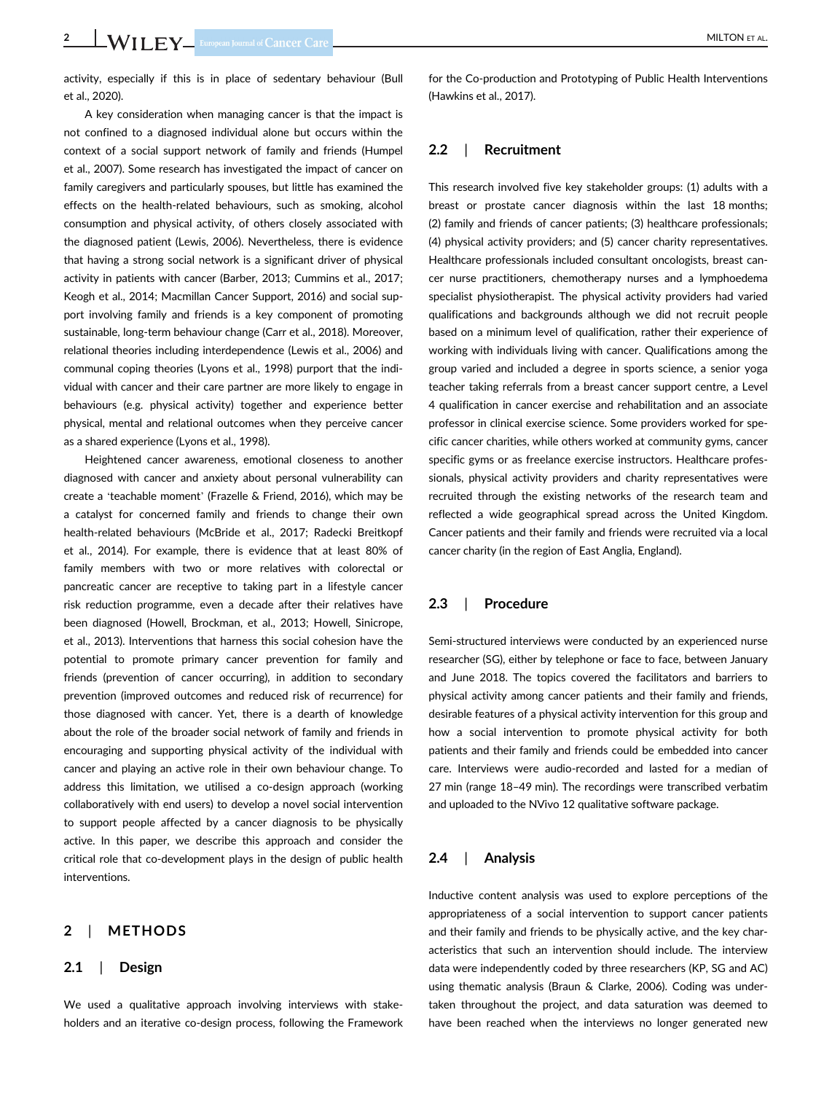activity, especially if this is in place of sedentary behaviour (Bull et al., 2020).

A key consideration when managing cancer is that the impact is not confined to a diagnosed individual alone but occurs within the context of a social support network of family and friends (Humpel et al., 2007). Some research has investigated the impact of cancer on family caregivers and particularly spouses, but little has examined the effects on the health-related behaviours, such as smoking, alcohol consumption and physical activity, of others closely associated with the diagnosed patient (Lewis, 2006). Nevertheless, there is evidence that having a strong social network is a significant driver of physical activity in patients with cancer (Barber, 2013; Cummins et al., 2017; Keogh et al., 2014; Macmillan Cancer Support, 2016) and social support involving family and friends is a key component of promoting sustainable, long-term behaviour change (Carr et al., 2018). Moreover, relational theories including interdependence (Lewis et al., 2006) and communal coping theories (Lyons et al., 1998) purport that the individual with cancer and their care partner are more likely to engage in behaviours (e.g. physical activity) together and experience better physical, mental and relational outcomes when they perceive cancer as a shared experience (Lyons et al., 1998).

Heightened cancer awareness, emotional closeness to another diagnosed with cancer and anxiety about personal vulnerability can create a 'teachable moment' (Frazelle & Friend, 2016), which may be a catalyst for concerned family and friends to change their own health-related behaviours (McBride et al., 2017; Radecki Breitkopf et al., 2014). For example, there is evidence that at least 80% of family members with two or more relatives with colorectal or pancreatic cancer are receptive to taking part in a lifestyle cancer risk reduction programme, even a decade after their relatives have been diagnosed (Howell, Brockman, et al., 2013; Howell, Sinicrope, et al., 2013). Interventions that harness this social cohesion have the potential to promote primary cancer prevention for family and friends (prevention of cancer occurring), in addition to secondary prevention (improved outcomes and reduced risk of recurrence) for those diagnosed with cancer. Yet, there is a dearth of knowledge about the role of the broader social network of family and friends in encouraging and supporting physical activity of the individual with cancer and playing an active role in their own behaviour change. To address this limitation, we utilised a co-design approach (working collaboratively with end users) to develop a novel social intervention to support people affected by a cancer diagnosis to be physically active. In this paper, we describe this approach and consider the critical role that co-development plays in the design of public health interventions.

# 2 | METHODS

#### 2.1 | Design

We used a qualitative approach involving interviews with stakeholders and an iterative co-design process, following the Framework

for the Co-production and Prototyping of Public Health Interventions (Hawkins et al., 2017).

## 2.2 | Recruitment

This research involved five key stakeholder groups: (1) adults with a breast or prostate cancer diagnosis within the last 18 months; (2) family and friends of cancer patients; (3) healthcare professionals; (4) physical activity providers; and (5) cancer charity representatives. Healthcare professionals included consultant oncologists, breast cancer nurse practitioners, chemotherapy nurses and a lymphoedema specialist physiotherapist. The physical activity providers had varied qualifications and backgrounds although we did not recruit people based on a minimum level of qualification, rather their experience of working with individuals living with cancer. Qualifications among the group varied and included a degree in sports science, a senior yoga teacher taking referrals from a breast cancer support centre, a Level 4 qualification in cancer exercise and rehabilitation and an associate professor in clinical exercise science. Some providers worked for specific cancer charities, while others worked at community gyms, cancer specific gyms or as freelance exercise instructors. Healthcare professionals, physical activity providers and charity representatives were recruited through the existing networks of the research team and reflected a wide geographical spread across the United Kingdom. Cancer patients and their family and friends were recruited via a local cancer charity (in the region of East Anglia, England).

# 2.3 | Procedure

Semi-structured interviews were conducted by an experienced nurse researcher (SG), either by telephone or face to face, between January and June 2018. The topics covered the facilitators and barriers to physical activity among cancer patients and their family and friends, desirable features of a physical activity intervention for this group and how a social intervention to promote physical activity for both patients and their family and friends could be embedded into cancer care. Interviews were audio-recorded and lasted for a median of 27 min (range 18–49 min). The recordings were transcribed verbatim and uploaded to the NVivo 12 qualitative software package.

#### 2.4 | Analysis

Inductive content analysis was used to explore perceptions of the appropriateness of a social intervention to support cancer patients and their family and friends to be physically active, and the key characteristics that such an intervention should include. The interview data were independently coded by three researchers (KP, SG and AC) using thematic analysis (Braun & Clarke, 2006). Coding was undertaken throughout the project, and data saturation was deemed to have been reached when the interviews no longer generated new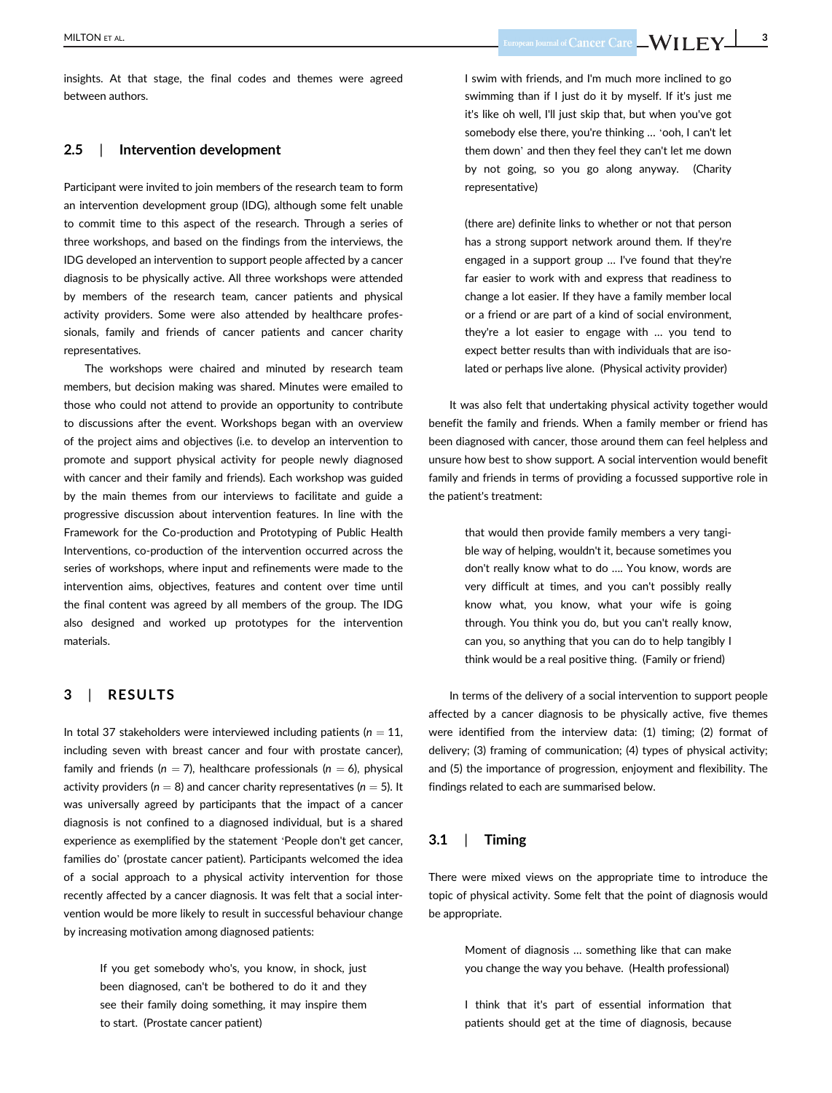insights. At that stage, the final codes and themes were agreed between authors.

#### 2.5 | Intervention development

Participant were invited to join members of the research team to form an intervention development group (IDG), although some felt unable to commit time to this aspect of the research. Through a series of three workshops, and based on the findings from the interviews, the IDG developed an intervention to support people affected by a cancer diagnosis to be physically active. All three workshops were attended by members of the research team, cancer patients and physical activity providers. Some were also attended by healthcare professionals, family and friends of cancer patients and cancer charity representatives.

The workshops were chaired and minuted by research team members, but decision making was shared. Minutes were emailed to those who could not attend to provide an opportunity to contribute to discussions after the event. Workshops began with an overview of the project aims and objectives (i.e. to develop an intervention to promote and support physical activity for people newly diagnosed with cancer and their family and friends). Each workshop was guided by the main themes from our interviews to facilitate and guide a progressive discussion about intervention features. In line with the Framework for the Co-production and Prototyping of Public Health Interventions, co-production of the intervention occurred across the series of workshops, where input and refinements were made to the intervention aims, objectives, features and content over time until the final content was agreed by all members of the group. The IDG also designed and worked up prototypes for the intervention materials.

## 3 | RESULTS

In total 37 stakeholders were interviewed including patients ( $n = 11$ , including seven with breast cancer and four with prostate cancer), family and friends ( $n = 7$ ), healthcare professionals ( $n = 6$ ), physical activity providers ( $n = 8$ ) and cancer charity representatives ( $n = 5$ ). It was universally agreed by participants that the impact of a cancer diagnosis is not confined to a diagnosed individual, but is a shared experience as exemplified by the statement 'People don't get cancer, families do' (prostate cancer patient). Participants welcomed the idea of a social approach to a physical activity intervention for those recently affected by a cancer diagnosis. It was felt that a social intervention would be more likely to result in successful behaviour change by increasing motivation among diagnosed patients:

> If you get somebody who's, you know, in shock, just been diagnosed, can't be bothered to do it and they see their family doing something, it may inspire them to start. (Prostate cancer patient)

I swim with friends, and I'm much more inclined to go swimming than if I just do it by myself. If it's just me it's like oh well, I'll just skip that, but when you've got somebody else there, you're thinking … 'ooh, I can't let them down' and then they feel they can't let me down by not going, so you go along anyway. (Charity representative)

(there are) definite links to whether or not that person has a strong support network around them. If they're engaged in a support group … I've found that they're far easier to work with and express that readiness to change a lot easier. If they have a family member local or a friend or are part of a kind of social environment, they're a lot easier to engage with … you tend to expect better results than with individuals that are isolated or perhaps live alone. (Physical activity provider)

It was also felt that undertaking physical activity together would benefit the family and friends. When a family member or friend has been diagnosed with cancer, those around them can feel helpless and unsure how best to show support. A social intervention would benefit family and friends in terms of providing a focussed supportive role in the patient's treatment:

> that would then provide family members a very tangible way of helping, wouldn't it, because sometimes you don't really know what to do …. You know, words are very difficult at times, and you can't possibly really know what, you know, what your wife is going through. You think you do, but you can't really know, can you, so anything that you can do to help tangibly I think would be a real positive thing. (Family or friend)

In terms of the delivery of a social intervention to support people affected by a cancer diagnosis to be physically active, five themes were identified from the interview data: (1) timing; (2) format of delivery; (3) framing of communication; (4) types of physical activity; and (5) the importance of progression, enjoyment and flexibility. The findings related to each are summarised below.

#### 3.1 | Timing

There were mixed views on the appropriate time to introduce the topic of physical activity. Some felt that the point of diagnosis would be appropriate.

> Moment of diagnosis … something like that can make you change the way you behave. (Health professional)

> I think that it's part of essential information that patients should get at the time of diagnosis, because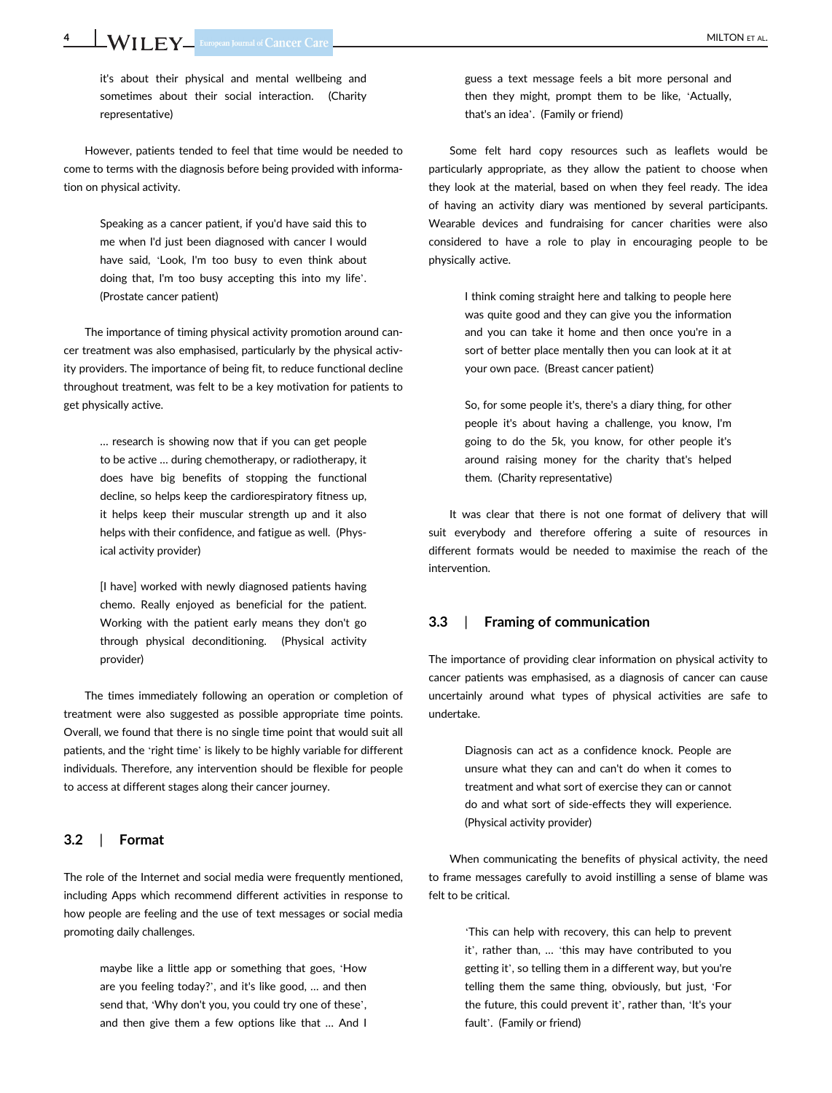it's about their physical and mental wellbeing and sometimes about their social interaction. (Charity representative)

However, patients tended to feel that time would be needed to come to terms with the diagnosis before being provided with information on physical activity.

> Speaking as a cancer patient, if you'd have said this to me when I'd just been diagnosed with cancer I would have said, 'Look, I'm too busy to even think about doing that, I'm too busy accepting this into my life'. (Prostate cancer patient)

The importance of timing physical activity promotion around cancer treatment was also emphasised, particularly by the physical activity providers. The importance of being fit, to reduce functional decline throughout treatment, was felt to be a key motivation for patients to get physically active.

> … research is showing now that if you can get people to be active … during chemotherapy, or radiotherapy, it does have big benefits of stopping the functional decline, so helps keep the cardiorespiratory fitness up, it helps keep their muscular strength up and it also helps with their confidence, and fatigue as well. (Physical activity provider)

> [I have] worked with newly diagnosed patients having chemo. Really enjoyed as beneficial for the patient. Working with the patient early means they don't go through physical deconditioning. (Physical activity provider)

The times immediately following an operation or completion of treatment were also suggested as possible appropriate time points. Overall, we found that there is no single time point that would suit all patients, and the 'right time' is likely to be highly variable for different individuals. Therefore, any intervention should be flexible for people to access at different stages along their cancer journey.

## 3.2 | Format

The role of the Internet and social media were frequently mentioned, including Apps which recommend different activities in response to how people are feeling and the use of text messages or social media promoting daily challenges.

> maybe like a little app or something that goes, 'How are you feeling today?', and it's like good, … and then send that, 'Why don't you, you could try one of these', and then give them a few options like that … And I

guess a text message feels a bit more personal and then they might, prompt them to be like, 'Actually, that's an idea'. (Family or friend)

Some felt hard copy resources such as leaflets would be particularly appropriate, as they allow the patient to choose when they look at the material, based on when they feel ready. The idea of having an activity diary was mentioned by several participants. Wearable devices and fundraising for cancer charities were also considered to have a role to play in encouraging people to be physically active.

> I think coming straight here and talking to people here was quite good and they can give you the information and you can take it home and then once you're in a sort of better place mentally then you can look at it at your own pace. (Breast cancer patient)

> So, for some people it's, there's a diary thing, for other people it's about having a challenge, you know, I'm going to do the 5k, you know, for other people it's around raising money for the charity that's helped them. (Charity representative)

It was clear that there is not one format of delivery that will suit everybody and therefore offering a suite of resources in different formats would be needed to maximise the reach of the intervention.

## 3.3 | Framing of communication

The importance of providing clear information on physical activity to cancer patients was emphasised, as a diagnosis of cancer can cause uncertainly around what types of physical activities are safe to undertake.

> Diagnosis can act as a confidence knock. People are unsure what they can and can't do when it comes to treatment and what sort of exercise they can or cannot do and what sort of side-effects they will experience. (Physical activity provider)

When communicating the benefits of physical activity, the need to frame messages carefully to avoid instilling a sense of blame was felt to be critical.

> 'This can help with recovery, this can help to prevent it', rather than, … 'this may have contributed to you getting it', so telling them in a different way, but you're telling them the same thing, obviously, but just, 'For the future, this could prevent it', rather than, 'It's your fault'. (Family or friend)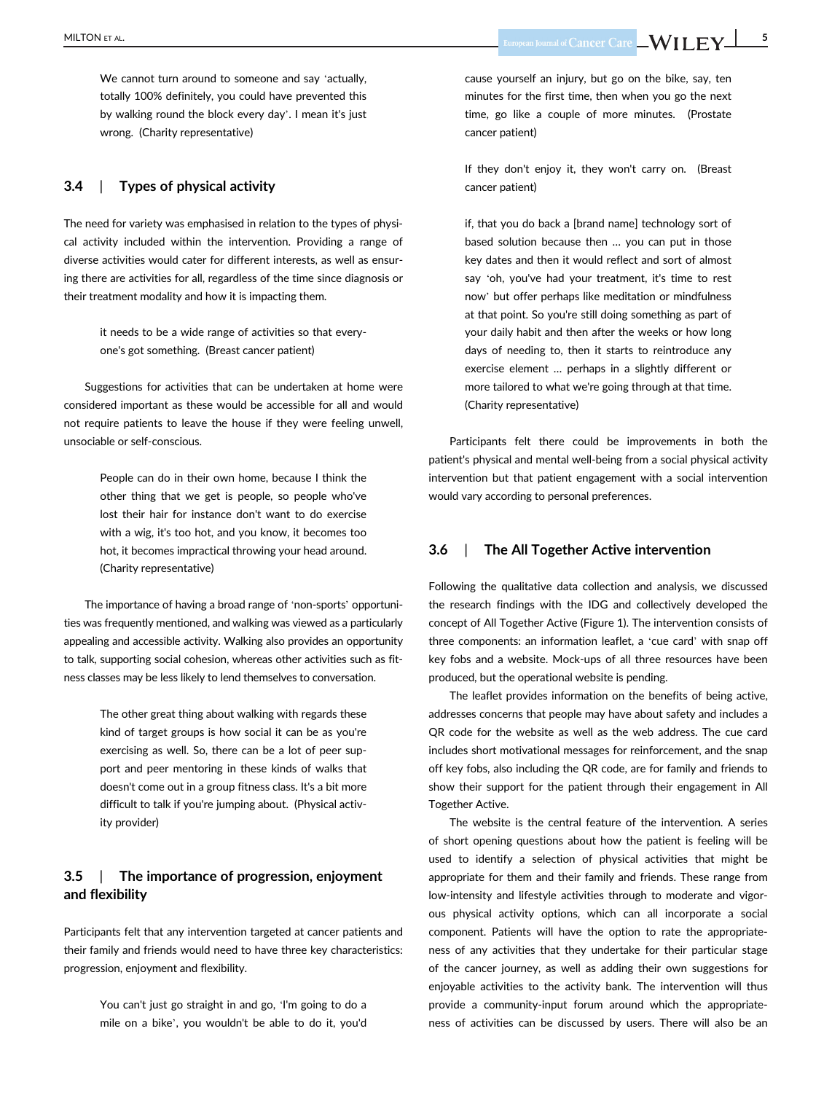We cannot turn around to someone and say 'actually, totally 100% definitely, you could have prevented this by walking round the block every day'. I mean it's just wrong. (Charity representative)

## 3.4 | Types of physical activity

The need for variety was emphasised in relation to the types of physical activity included within the intervention. Providing a range of diverse activities would cater for different interests, as well as ensuring there are activities for all, regardless of the time since diagnosis or their treatment modality and how it is impacting them.

> it needs to be a wide range of activities so that everyone's got something. (Breast cancer patient)

Suggestions for activities that can be undertaken at home were considered important as these would be accessible for all and would not require patients to leave the house if they were feeling unwell, unsociable or self-conscious.

> People can do in their own home, because I think the other thing that we get is people, so people who've lost their hair for instance don't want to do exercise with a wig, it's too hot, and you know, it becomes too hot, it becomes impractical throwing your head around. (Charity representative)

The importance of having a broad range of 'non-sports' opportunities was frequently mentioned, and walking was viewed as a particularly appealing and accessible activity. Walking also provides an opportunity to talk, supporting social cohesion, whereas other activities such as fitness classes may be less likely to lend themselves to conversation.

> The other great thing about walking with regards these kind of target groups is how social it can be as you're exercising as well. So, there can be a lot of peer support and peer mentoring in these kinds of walks that doesn't come out in a group fitness class. It's a bit more difficult to talk if you're jumping about. (Physical activity provider)

# 3.5 | The importance of progression, enjoyment and flexibility

Participants felt that any intervention targeted at cancer patients and their family and friends would need to have three key characteristics: progression, enjoyment and flexibility.

> You can't just go straight in and go, 'I'm going to do a mile on a bike', you wouldn't be able to do it, you'd

cause yourself an injury, but go on the bike, say, ten minutes for the first time, then when you go the next time, go like a couple of more minutes. (Prostate cancer patient)

If they don't enjoy it, they won't carry on. (Breast cancer patient)

if, that you do back a [brand name] technology sort of based solution because then … you can put in those key dates and then it would reflect and sort of almost say 'oh, you've had your treatment, it's time to rest now' but offer perhaps like meditation or mindfulness at that point. So you're still doing something as part of your daily habit and then after the weeks or how long days of needing to, then it starts to reintroduce any exercise element … perhaps in a slightly different or more tailored to what we're going through at that time. (Charity representative)

Participants felt there could be improvements in both the patient's physical and mental well-being from a social physical activity intervention but that patient engagement with a social intervention would vary according to personal preferences.

# 3.6 | The All Together Active intervention

Following the qualitative data collection and analysis, we discussed the research findings with the IDG and collectively developed the concept of All Together Active (Figure 1). The intervention consists of three components: an information leaflet, a 'cue card' with snap off key fobs and a website. Mock-ups of all three resources have been produced, but the operational website is pending.

The leaflet provides information on the benefits of being active, addresses concerns that people may have about safety and includes a QR code for the website as well as the web address. The cue card includes short motivational messages for reinforcement, and the snap off key fobs, also including the QR code, are for family and friends to show their support for the patient through their engagement in All Together Active.

The website is the central feature of the intervention. A series of short opening questions about how the patient is feeling will be used to identify a selection of physical activities that might be appropriate for them and their family and friends. These range from low-intensity and lifestyle activities through to moderate and vigorous physical activity options, which can all incorporate a social component. Patients will have the option to rate the appropriateness of any activities that they undertake for their particular stage of the cancer journey, as well as adding their own suggestions for enjoyable activities to the activity bank. The intervention will thus provide a community-input forum around which the appropriateness of activities can be discussed by users. There will also be an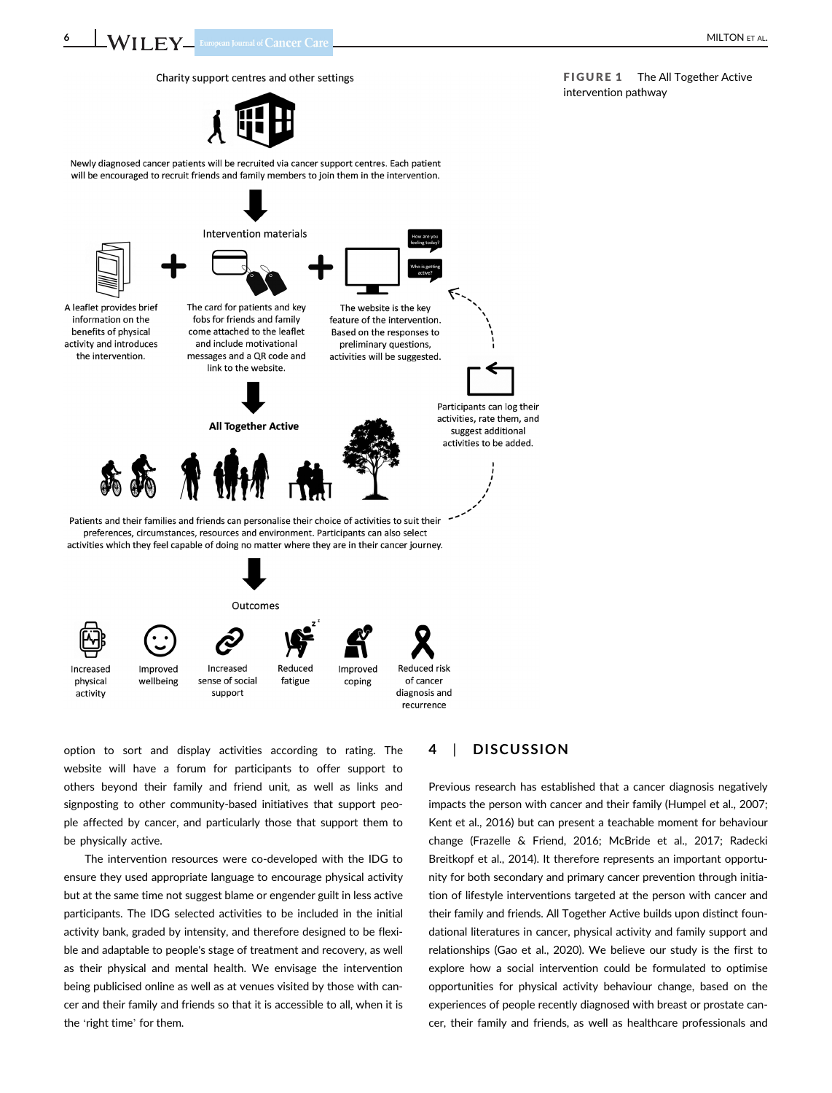6 **WILEY** European Journal of Cancer Care



Newly diagnosed cancer patients will be recruited via cancer support centres. Each patient will be encouraged to recruit friends and family members to join them in the intervention.



option to sort and display activities according to rating. The website will have a forum for participants to offer support to others beyond their family and friend unit, as well as links and signposting to other community-based initiatives that support people affected by cancer, and particularly those that support them to be physically active.

The intervention resources were co-developed with the IDG to ensure they used appropriate language to encourage physical activity but at the same time not suggest blame or engender guilt in less active participants. The IDG selected activities to be included in the initial activity bank, graded by intensity, and therefore designed to be flexible and adaptable to people's stage of treatment and recovery, as well as their physical and mental health. We envisage the intervention being publicised online as well as at venues visited by those with cancer and their family and friends so that it is accessible to all, when it is the 'right time' for them.

# 4 | DISCUSSION

Previous research has established that a cancer diagnosis negatively impacts the person with cancer and their family (Humpel et al., 2007; Kent et al., 2016) but can present a teachable moment for behaviour change (Frazelle & Friend, 2016; McBride et al., 2017; Radecki Breitkopf et al., 2014). It therefore represents an important opportunity for both secondary and primary cancer prevention through initiation of lifestyle interventions targeted at the person with cancer and their family and friends. All Together Active builds upon distinct foundational literatures in cancer, physical activity and family support and relationships (Gao et al., 2020). We believe our study is the first to explore how a social intervention could be formulated to optimise opportunities for physical activity behaviour change, based on the experiences of people recently diagnosed with breast or prostate cancer, their family and friends, as well as healthcare professionals and

FIGURE 1 The All Together Active intervention pathway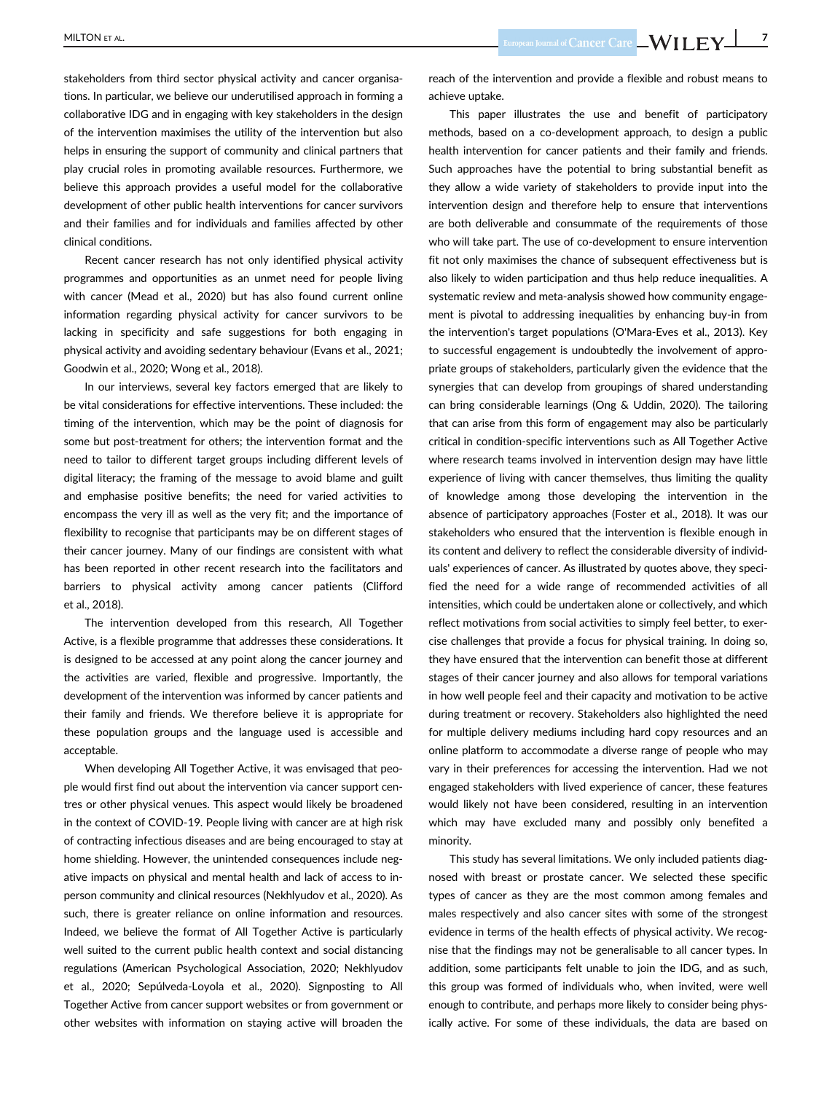MILTON ET AL. NORTH STARS AND THE SUPPORT OF THE SUPPORT OF THE SUPPORT OF THE SUPPORT OF THE SUPPORT OF THE SUPPORT OF THE SUPPORT OF THE SUPPORT OF THE SUPPORT OF THE SUPPORT OF THE SUPPORT OF THE SUPPORT OF THE SUPPORT

stakeholders from third sector physical activity and cancer organisations. In particular, we believe our underutilised approach in forming a collaborative IDG and in engaging with key stakeholders in the design of the intervention maximises the utility of the intervention but also helps in ensuring the support of community and clinical partners that play crucial roles in promoting available resources. Furthermore, we believe this approach provides a useful model for the collaborative development of other public health interventions for cancer survivors and their families and for individuals and families affected by other clinical conditions.

Recent cancer research has not only identified physical activity programmes and opportunities as an unmet need for people living with cancer (Mead et al., 2020) but has also found current online information regarding physical activity for cancer survivors to be lacking in specificity and safe suggestions for both engaging in physical activity and avoiding sedentary behaviour (Evans et al., 2021; Goodwin et al., 2020; Wong et al., 2018).

In our interviews, several key factors emerged that are likely to be vital considerations for effective interventions. These included: the timing of the intervention, which may be the point of diagnosis for some but post-treatment for others; the intervention format and the need to tailor to different target groups including different levels of digital literacy; the framing of the message to avoid blame and guilt and emphasise positive benefits; the need for varied activities to encompass the very ill as well as the very fit; and the importance of flexibility to recognise that participants may be on different stages of their cancer journey. Many of our findings are consistent with what has been reported in other recent research into the facilitators and barriers to physical activity among cancer patients (Clifford et al., 2018).

The intervention developed from this research, All Together Active, is a flexible programme that addresses these considerations. It is designed to be accessed at any point along the cancer journey and the activities are varied, flexible and progressive. Importantly, the development of the intervention was informed by cancer patients and their family and friends. We therefore believe it is appropriate for these population groups and the language used is accessible and acceptable.

When developing All Together Active, it was envisaged that people would first find out about the intervention via cancer support centres or other physical venues. This aspect would likely be broadened in the context of COVID-19. People living with cancer are at high risk of contracting infectious diseases and are being encouraged to stay at home shielding. However, the unintended consequences include negative impacts on physical and mental health and lack of access to inperson community and clinical resources (Nekhlyudov et al., 2020). As such, there is greater reliance on online information and resources. Indeed, we believe the format of All Together Active is particularly well suited to the current public health context and social distancing regulations (American Psychological Association, 2020; Nekhlyudov et al., 2020; Sepúlveda-Loyola et al., 2020). Signposting to All Together Active from cancer support websites or from government or other websites with information on staying active will broaden the

reach of the intervention and provide a flexible and robust means to achieve uptake.

This paper illustrates the use and benefit of participatory methods, based on a co-development approach, to design a public health intervention for cancer patients and their family and friends. Such approaches have the potential to bring substantial benefit as they allow a wide variety of stakeholders to provide input into the intervention design and therefore help to ensure that interventions are both deliverable and consummate of the requirements of those who will take part. The use of co-development to ensure intervention fit not only maximises the chance of subsequent effectiveness but is also likely to widen participation and thus help reduce inequalities. A systematic review and meta-analysis showed how community engagement is pivotal to addressing inequalities by enhancing buy-in from the intervention's target populations (O'Mara-Eves et al., 2013). Key to successful engagement is undoubtedly the involvement of appropriate groups of stakeholders, particularly given the evidence that the synergies that can develop from groupings of shared understanding can bring considerable learnings (Ong & Uddin, 2020). The tailoring that can arise from this form of engagement may also be particularly critical in condition-specific interventions such as All Together Active where research teams involved in intervention design may have little experience of living with cancer themselves, thus limiting the quality of knowledge among those developing the intervention in the absence of participatory approaches (Foster et al., 2018). It was our stakeholders who ensured that the intervention is flexible enough in its content and delivery to reflect the considerable diversity of individuals' experiences of cancer. As illustrated by quotes above, they specified the need for a wide range of recommended activities of all intensities, which could be undertaken alone or collectively, and which reflect motivations from social activities to simply feel better, to exercise challenges that provide a focus for physical training. In doing so, they have ensured that the intervention can benefit those at different stages of their cancer journey and also allows for temporal variations in how well people feel and their capacity and motivation to be active during treatment or recovery. Stakeholders also highlighted the need for multiple delivery mediums including hard copy resources and an online platform to accommodate a diverse range of people who may vary in their preferences for accessing the intervention. Had we not engaged stakeholders with lived experience of cancer, these features would likely not have been considered, resulting in an intervention which may have excluded many and possibly only benefited a minority.

This study has several limitations. We only included patients diagnosed with breast or prostate cancer. We selected these specific types of cancer as they are the most common among females and males respectively and also cancer sites with some of the strongest evidence in terms of the health effects of physical activity. We recognise that the findings may not be generalisable to all cancer types. In addition, some participants felt unable to join the IDG, and as such, this group was formed of individuals who, when invited, were well enough to contribute, and perhaps more likely to consider being physically active. For some of these individuals, the data are based on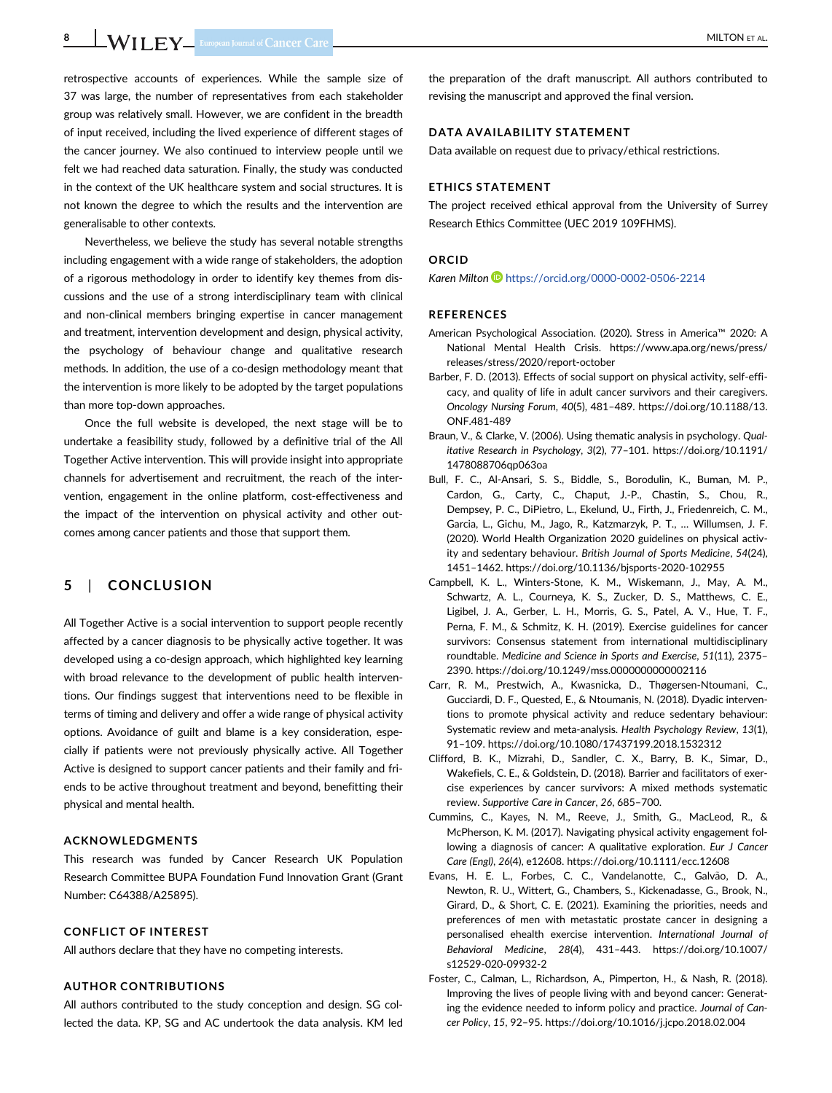retrospective accounts of experiences. While the sample size of 37 was large, the number of representatives from each stakeholder group was relatively small. However, we are confident in the breadth of input received, including the lived experience of different stages of the cancer journey. We also continued to interview people until we felt we had reached data saturation. Finally, the study was conducted in the context of the UK healthcare system and social structures. It is not known the degree to which the results and the intervention are generalisable to other contexts.

Nevertheless, we believe the study has several notable strengths including engagement with a wide range of stakeholders, the adoption of a rigorous methodology in order to identify key themes from discussions and the use of a strong interdisciplinary team with clinical and non-clinical members bringing expertise in cancer management and treatment, intervention development and design, physical activity, the psychology of behaviour change and qualitative research methods. In addition, the use of a co-design methodology meant that the intervention is more likely to be adopted by the target populations than more top-down approaches.

Once the full website is developed, the next stage will be to undertake a feasibility study, followed by a definitive trial of the All Together Active intervention. This will provide insight into appropriate channels for advertisement and recruitment, the reach of the intervention, engagement in the online platform, cost-effectiveness and the impact of the intervention on physical activity and other outcomes among cancer patients and those that support them.

# 5 | CONCLUSION

All Together Active is a social intervention to support people recently affected by a cancer diagnosis to be physically active together. It was developed using a co-design approach, which highlighted key learning with broad relevance to the development of public health interventions. Our findings suggest that interventions need to be flexible in terms of timing and delivery and offer a wide range of physical activity options. Avoidance of guilt and blame is a key consideration, especially if patients were not previously physically active. All Together Active is designed to support cancer patients and their family and friends to be active throughout treatment and beyond, benefitting their physical and mental health.

#### ACKNOWLEDGMENTS

This research was funded by Cancer Research UK Population Research Committee BUPA Foundation Fund Innovation Grant (Grant Number: C64388/A25895).

#### CONFLICT OF INTEREST

All authors declare that they have no competing interests.

## AUTHOR CONTRIBUTIONS

All authors contributed to the study conception and design. SG collected the data. KP, SG and AC undertook the data analysis. KM led

the preparation of the draft manuscript. All authors contributed to revising the manuscript and approved the final version.

#### DATA AVAILABILITY STATEMENT

Data available on request due to privacy/ethical restrictions.

#### ETHICS STATEMENT

The project received ethical approval from the University of Surrey Research Ethics Committee (UEC 2019 109FHMS).

#### ORCID

Karen Milton D<https://orcid.org/0000-0002-0506-2214>

#### REFERENCES

- American Psychological Association. (2020). Stress in America™ 2020: A National Mental Health Crisis. [https://www.apa.org/news/press/](https://www.apa.org/news/press/releases/stress/2020/report-october) [releases/stress/2020/report-october](https://www.apa.org/news/press/releases/stress/2020/report-october)
- Barber, F. D. (2013). Effects of social support on physical activity, self-efficacy, and quality of life in adult cancer survivors and their caregivers. Oncology Nursing Forum, 40(5), 481–489. [https://doi.org/10.1188/13.](https://doi.org/10.1188/13.ONF.481-489) [ONF.481-489](https://doi.org/10.1188/13.ONF.481-489)
- Braun, V., & Clarke, V. (2006). Using thematic analysis in psychology. Qualitative Research in Psychology, 3(2), 77–101. [https://doi.org/10.1191/](https://doi.org/10.1191/1478088706qp063oa) [1478088706qp063oa](https://doi.org/10.1191/1478088706qp063oa)
- Bull, F. C., Al-Ansari, S. S., Biddle, S., Borodulin, K., Buman, M. P., Cardon, G., Carty, C., Chaput, J.-P., Chastin, S., Chou, R., Dempsey, P. C., DiPietro, L., Ekelund, U., Firth, J., Friedenreich, C. M., Garcia, L., Gichu, M., Jago, R., Katzmarzyk, P. T., … Willumsen, J. F. (2020). World Health Organization 2020 guidelines on physical activity and sedentary behaviour. British Journal of Sports Medicine, 54(24), 1451–1462.<https://doi.org/10.1136/bjsports-2020-102955>
- Campbell, K. L., Winters-Stone, K. M., Wiskemann, J., May, A. M., Schwartz, A. L., Courneya, K. S., Zucker, D. S., Matthews, C. E., Ligibel, J. A., Gerber, L. H., Morris, G. S., Patel, A. V., Hue, T. F., Perna, F. M., & Schmitz, K. H. (2019). Exercise guidelines for cancer survivors: Consensus statement from international multidisciplinary roundtable. Medicine and Science in Sports and Exercise, 51(11), 2375– 2390.<https://doi.org/10.1249/mss.0000000000002116>
- Carr, R. M., Prestwich, A., Kwasnicka, D., Thøgersen-Ntoumani, C., Gucciardi, D. F., Quested, E., & Ntoumanis, N. (2018). Dyadic interventions to promote physical activity and reduce sedentary behaviour: Systematic review and meta-analysis. Health Psychology Review, 13(1), 91–109.<https://doi.org/10.1080/17437199.2018.1532312>
- Clifford, B. K., Mizrahi, D., Sandler, C. X., Barry, B. K., Simar, D., Wakefiels, C. E., & Goldstein, D. (2018). Barrier and facilitators of exercise experiences by cancer survivors: A mixed methods systematic review. Supportive Care in Cancer, 26, 685–700.
- Cummins, C., Kayes, N. M., Reeve, J., Smith, G., MacLeod, R., & McPherson, K. M. (2017). Navigating physical activity engagement following a diagnosis of cancer: A qualitative exploration. Eur J Cancer Care (Engl), 26(4), e12608.<https://doi.org/10.1111/ecc.12608>
- Evans, H. E. L., Forbes, C. C., Vandelanotte, C., Galvão, D. A., Newton, R. U., Wittert, G., Chambers, S., Kickenadasse, G., Brook, N., Girard, D., & Short, C. E. (2021). Examining the priorities, needs and preferences of men with metastatic prostate cancer in designing a personalised ehealth exercise intervention. International Journal of Behavioral Medicine, 28(4), 431–443. [https://doi.org/10.1007/](https://doi.org/10.1007/s12529-020-09932-2) [s12529-020-09932-2](https://doi.org/10.1007/s12529-020-09932-2)
- Foster, C., Calman, L., Richardson, A., Pimperton, H., & Nash, R. (2018). Improving the lives of people living with and beyond cancer: Generating the evidence needed to inform policy and practice. Journal of Cancer Policy, 15, 92–95.<https://doi.org/10.1016/j.jcpo.2018.02.004>